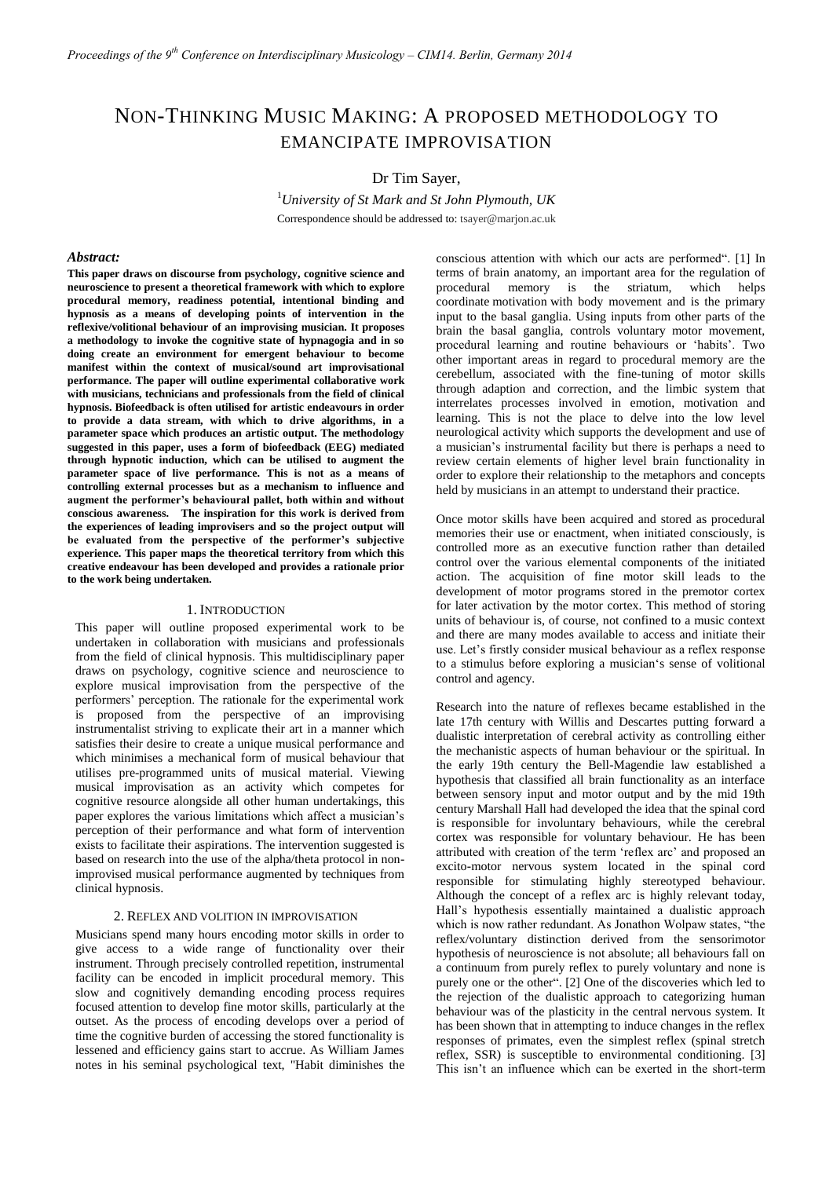# NON-THINKING MUSIC MAKING: A PROPOSED METHODOLOGY TO EMANCIPATE IMPROVISATION

Dr Tim Sayer,

<sup>1</sup>*University of St Mark and St John Plymouth, UK* Correspondence should be addressed to: tsayer@marjon.ac.uk

### *Abstract:*

**This paper draws on discourse from psychology, cognitive science and neuroscience to present a theoretical framework with which to explore procedural memory, readiness potential, intentional binding and hypnosis as a means of developing points of intervention in the reflexive/volitional behaviour of an improvising musician. It proposes a methodology to invoke the cognitive state of hypnagogia and in so doing create an environment for emergent behaviour to become manifest within the context of musical/sound art improvisational performance. The paper will outline experimental collaborative work with musicians, technicians and professionals from the field of clinical hypnosis. Biofeedback is often utilised for artistic endeavours in order to provide a data stream, with which to drive algorithms, in a parameter space which produces an artistic output. The methodology suggested in this paper, uses a form of biofeedback (EEG) mediated through hypnotic induction, which can be utilised to augment the parameter space of live performance. This is not as a means of controlling external processes but as a mechanism to influence and augment the performer's behavioural pallet, both within and without conscious awareness. The inspiration for this work is derived from the experiences of leading improvisers and so the project output will be evaluated from the perspective of the performer's subjective experience. This paper maps the theoretical territory from which this creative endeavour has been developed and provides a rationale prior to the work being undertaken.**

## 1. INTRODUCTION

This paper will outline proposed experimental work to be undertaken in collaboration with musicians and professionals from the field of clinical hypnosis. This multidisciplinary paper draws on psychology, cognitive science and neuroscience to explore musical improvisation from the perspective of the performers' perception. The rationale for the experimental work is proposed from the perspective of an improvising instrumentalist striving to explicate their art in a manner which satisfies their desire to create a unique musical performance and which minimises a mechanical form of musical behaviour that utilises pre-programmed units of musical material. Viewing musical improvisation as an activity which competes for cognitive resource alongside all other human undertakings, this paper explores the various limitations which affect a musician's perception of their performance and what form of intervention exists to facilitate their aspirations. The intervention suggested is based on research into the use of the alpha/theta protocol in nonimprovised musical performance augmented by techniques from clinical hypnosis.

## 2. REFLEX AND VOLITION IN IMPROVISATION

Musicians spend many hours encoding motor skills in order to give access to a wide range of functionality over their instrument. Through precisely controlled repetition, instrumental facility can be encoded in implicit procedural memory. This slow and cognitively demanding encoding process requires focused attention to develop fine motor skills, particularly at the outset. As the process of encoding develops over a period of time the cognitive burden of accessing the stored functionality is lessened and efficiency gains start to accrue. As William James notes in his seminal psychological text, "Habit diminishes the

conscious attention with which our acts are performed". [1] In terms of brain anatomy, an important area for the regulation of procedural memory is the striatum, which helps coordinate motivation with body movement and is the primary input to the basal ganglia. Using inputs from other parts of the brain the basal ganglia, controls voluntary motor movement, procedural learning and routine behaviours or 'habits'. Two other important areas in regard to procedural memory are the cerebellum, associated with the fine-tuning of motor skills through adaption and correction, and the limbic system that interrelates processes involved in emotion, motivation and learning. This is not the place to delve into the low level neurological activity which supports the development and use of a musician's instrumental facility but there is perhaps a need to review certain elements of higher level brain functionality in order to explore their relationship to the metaphors and concepts held by musicians in an attempt to understand their practice.

Once motor skills have been acquired and stored as procedural memories their use or enactment, when initiated consciously, is controlled more as an executive function rather than detailed control over the various elemental components of the initiated action. The acquisition of fine motor skill leads to the development of motor programs stored in the premotor cortex for later activation by the motor cortex. This method of storing units of behaviour is, of course, not confined to a music context and there are many modes available to access and initiate their use. Let's firstly consider musical behaviour as a reflex response to a stimulus before exploring a musician's sense of volitional control and agency.

Research into the nature of reflexes became established in the late 17th century with Willis and Descartes putting forward a dualistic interpretation of cerebral activity as controlling either the mechanistic aspects of human behaviour or the spiritual. In the early 19th century the Bell-Magendie law established a hypothesis that classified all brain functionality as an interface between sensory input and motor output and by the mid 19th century Marshall Hall had developed the idea that the spinal cord is responsible for involuntary behaviours, while the cerebral cortex was responsible for voluntary behaviour. He has been attributed with creation of the term 'reflex arc' and proposed an excito-motor nervous system located in the spinal cord responsible for stimulating highly stereotyped behaviour. Although the concept of a reflex arc is highly relevant today, Hall's hypothesis essentially maintained a dualistic approach which is now rather redundant. As Jonathon Wolpaw states, "the reflex/voluntary distinction derived from the sensorimotor hypothesis of neuroscience is not absolute; all behaviours fall on a continuum from purely reflex to purely voluntary and none is purely one or the other". [2] One of the discoveries which led to the rejection of the dualistic approach to categorizing human behaviour was of the plasticity in the central nervous system. It has been shown that in attempting to induce changes in the reflex responses of primates, even the simplest reflex (spinal stretch reflex, SSR) is susceptible to environmental conditioning. [3] This isn't an influence which can be exerted in the short-term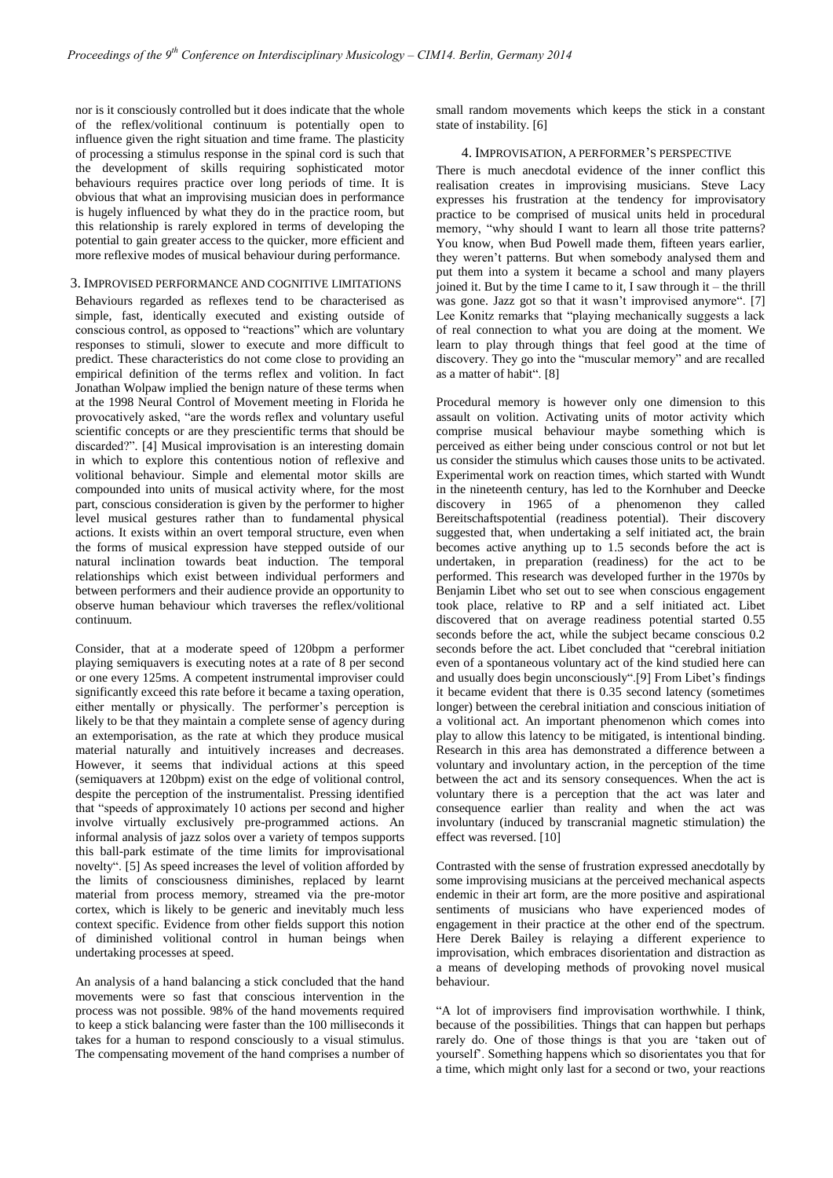nor is it consciously controlled but it does indicate that the whole of the reflex/volitional continuum is potentially open to influence given the right situation and time frame. The plasticity of processing a stimulus response in the spinal cord is such that the development of skills requiring sophisticated motor behaviours requires practice over long periods of time. It is obvious that what an improvising musician does in performance is hugely influenced by what they do in the practice room, but this relationship is rarely explored in terms of developing the potential to gain greater access to the quicker, more efficient and more reflexive modes of musical behaviour during performance.

# 3. IMPROVISED PERFORMANCE AND COGNITIVE LIMITATIONS

Behaviours regarded as reflexes tend to be characterised as simple, fast, identically executed and existing outside of conscious control, as opposed to "reactions" which are voluntary responses to stimuli, slower to execute and more difficult to predict. These characteristics do not come close to providing an empirical definition of the terms reflex and volition. In fact Jonathan Wolpaw implied the benign nature of these terms when at the 1998 Neural Control of Movement meeting in Florida he provocatively asked, "are the words reflex and voluntary useful scientific concepts or are they prescientific terms that should be discarded?". [4] Musical improvisation is an interesting domain in which to explore this contentious notion of reflexive and volitional behaviour. Simple and elemental motor skills are compounded into units of musical activity where, for the most part, conscious consideration is given by the performer to higher level musical gestures rather than to fundamental physical actions. It exists within an overt temporal structure, even when the forms of musical expression have stepped outside of our natural inclination towards beat induction. The temporal relationships which exist between individual performers and between performers and their audience provide an opportunity to observe human behaviour which traverses the reflex/volitional continuum.

Consider, that at a moderate speed of 120bpm a performer playing semiquavers is executing notes at a rate of 8 per second or one every 125ms. A competent instrumental improviser could significantly exceed this rate before it became a taxing operation, either mentally or physically. The performer's perception is likely to be that they maintain a complete sense of agency during an extemporisation, as the rate at which they produce musical material naturally and intuitively increases and decreases. However, it seems that individual actions at this speed (semiquavers at 120bpm) exist on the edge of volitional control, despite the perception of the instrumentalist. Pressing identified that "speeds of approximately 10 actions per second and higher involve virtually exclusively pre-programmed actions. An informal analysis of jazz solos over a variety of tempos supports this ball-park estimate of the time limits for improvisational novelty". [5] As speed increases the level of volition afforded by the limits of consciousness diminishes, replaced by learnt material from process memory, streamed via the pre-motor cortex, which is likely to be generic and inevitably much less context specific. Evidence from other fields support this notion of diminished volitional control in human beings when undertaking processes at speed.

An analysis of a hand balancing a stick concluded that the hand movements were so fast that conscious intervention in the process was not possible. 98% of the hand movements required to keep a stick balancing were faster than the 100 milliseconds it takes for a human to respond consciously to a visual stimulus. The compensating movement of the hand comprises a number of small random movements which keeps the stick in a constant state of instability. [6]

# 4. IMPROVISATION, A PERFORMER'S PERSPECTIVE

There is much anecdotal evidence of the inner conflict this realisation creates in improvising musicians. Steve Lacy expresses his frustration at the tendency for improvisatory practice to be comprised of musical units held in procedural memory, "why should I want to learn all those trite patterns? You know, when Bud Powell made them, fifteen years earlier, they weren't patterns. But when somebody analysed them and put them into a system it became a school and many players joined it. But by the time I came to it, I saw through it – the thrill was gone. Jazz got so that it wasn't improvised anymore". [7] Lee Konitz remarks that "playing mechanically suggests a lack of real connection to what you are doing at the moment. We learn to play through things that feel good at the time of discovery. They go into the "muscular memory" and are recalled as a matter of habit". [8]

Procedural memory is however only one dimension to this assault on volition. Activating units of motor activity which comprise musical behaviour maybe something which is perceived as either being under conscious control or not but let us consider the stimulus which causes those units to be activated. Experimental work on reaction times, which started with Wundt in the nineteenth century, has led to the Kornhuber and Deecke discovery in 1965 of a phenomenon they called Bereitschaftspotential (readiness potential). Their discovery suggested that, when undertaking a self initiated act, the brain becomes active anything up to 1.5 seconds before the act is undertaken, in preparation (readiness) for the act to be performed. This research was developed further in the 1970s by Benjamin Libet who set out to see when conscious engagement took place, relative to RP and a self initiated act. Libet discovered that on average readiness potential started 0.55 seconds before the act, while the subject became conscious 0.2 seconds before the act. Libet concluded that "cerebral initiation even of a spontaneous voluntary act of the kind studied here can and usually does begin unconsciously".[9] From Libet's findings it became evident that there is 0.35 second latency (sometimes longer) between the cerebral initiation and conscious initiation of a volitional act. An important phenomenon which comes into play to allow this latency to be mitigated, is intentional binding. Research in this area has demonstrated a difference between a voluntary and involuntary action, in the perception of the time between the act and its sensory consequences. When the act is voluntary there is a perception that the act was later and consequence earlier than reality and when the act was involuntary (induced by transcranial magnetic stimulation) the effect was reversed. [10]

Contrasted with the sense of frustration expressed anecdotally by some improvising musicians at the perceived mechanical aspects endemic in their art form, are the more positive and aspirational sentiments of musicians who have experienced modes of engagement in their practice at the other end of the spectrum. Here Derek Bailey is relaying a different experience to improvisation, which embraces disorientation and distraction as a means of developing methods of provoking novel musical behaviour.

"A lot of improvisers find improvisation worthwhile. I think, because of the possibilities. Things that can happen but perhaps rarely do. One of those things is that you are 'taken out of yourself'. Something happens which so disorientates you that for a time, which might only last for a second or two, your reactions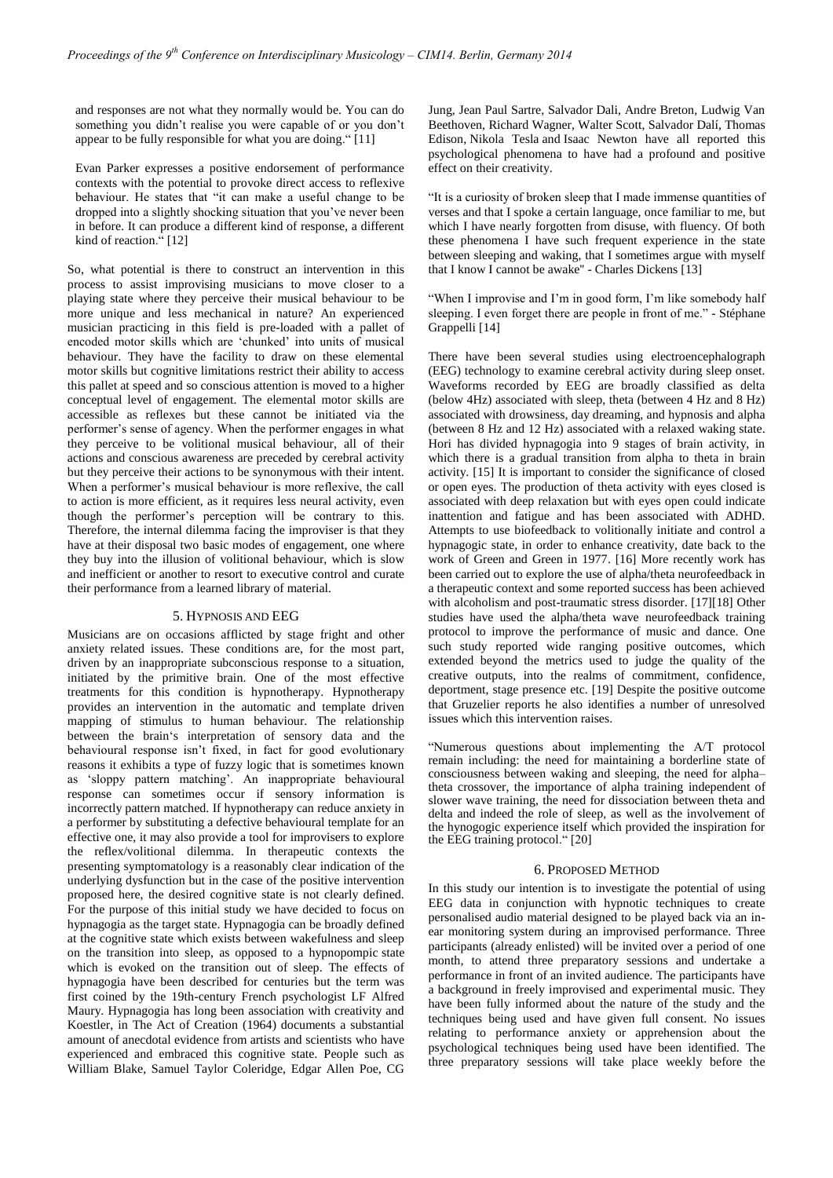and responses are not what they normally would be. You can do something you didn't realise you were capable of or you don't appear to be fully responsible for what you are doing." [11]

Evan Parker expresses a positive endorsement of performance contexts with the potential to provoke direct access to reflexive behaviour. He states that "it can make a useful change to be dropped into a slightly shocking situation that you've never been in before. It can produce a different kind of response, a different kind of reaction." [12]

So, what potential is there to construct an intervention in this process to assist improvising musicians to move closer to a playing state where they perceive their musical behaviour to be more unique and less mechanical in nature? An experienced musician practicing in this field is pre-loaded with a pallet of encoded motor skills which are 'chunked' into units of musical behaviour. They have the facility to draw on these elemental motor skills but cognitive limitations restrict their ability to access this pallet at speed and so conscious attention is moved to a higher conceptual level of engagement. The elemental motor skills are accessible as reflexes but these cannot be initiated via the performer's sense of agency. When the performer engages in what they perceive to be volitional musical behaviour, all of their actions and conscious awareness are preceded by cerebral activity but they perceive their actions to be synonymous with their intent. When a performer's musical behaviour is more reflexive, the call to action is more efficient, as it requires less neural activity, even though the performer's perception will be contrary to this. Therefore, the internal dilemma facing the improviser is that they have at their disposal two basic modes of engagement, one where they buy into the illusion of volitional behaviour, which is slow and inefficient or another to resort to executive control and curate their performance from a learned library of material.

## 5. HYPNOSIS AND EEG

Musicians are on occasions afflicted by stage fright and other anxiety related issues. These conditions are, for the most part, driven by an inappropriate subconscious response to a situation, initiated by the primitive brain. One of the most effective treatments for this condition is hypnotherapy. Hypnotherapy provides an intervention in the automatic and template driven mapping of stimulus to human behaviour. The relationship between the brain's interpretation of sensory data and the behavioural response isn't fixed, in fact for good evolutionary reasons it exhibits a type of fuzzy logic that is sometimes known as 'sloppy pattern matching'. An inappropriate behavioural response can sometimes occur if sensory information is incorrectly pattern matched. If hypnotherapy can reduce anxiety in a performer by substituting a defective behavioural template for an effective one, it may also provide a tool for improvisers to explore the reflex/volitional dilemma. In therapeutic contexts the presenting symptomatology is a reasonably clear indication of the underlying dysfunction but in the case of the positive intervention proposed here, the desired cognitive state is not clearly defined. For the purpose of this initial study we have decided to focus on hypnagogia as the target state. Hypnagogia can be broadly defined at the cognitive state which exists between wakefulness and sleep on the transition into sleep, as opposed to a hypnopompic state which is evoked on the transition out of sleep. The effects of hypnagogia have been described for centuries but the term was first coined by the 19th-century French psychologist LF Alfred Maury. Hypnagogia has long been association with creativity and Koestler, in The Act of Creation (1964) documents a substantial amount of anecdotal evidence from artists and scientists who have experienced and embraced this cognitive state. People such as William Blake, Samuel Taylor Coleridge, Edgar Allen Poe, CG

Jung, Jean Paul Sartre, Salvador Dali, Andre Breton, Ludwig Van Beethoven, Richard Wagner, Walter Scott, Salvador Dalí, Thomas Edison, Nikola Tesla and Isaac Newton have all reported this psychological phenomena to have had a profound and positive effect on their creativity.

"It is a curiosity of broken sleep that I made immense quantities of verses and that I spoke a certain language, once familiar to me, but which I have nearly forgotten from disuse, with fluency. Of both these phenomena I have such frequent experience in the state between sleeping and waking, that I sometimes argue with myself that I know I cannot be awake'' - Charles Dickens [13]

"When I improvise and I'm in good form, I'm like somebody half sleeping. I even forget there are people in front of me." - Stéphane Grappelli [14]

There have been several studies using electroencephalograph (EEG) technology to examine cerebral activity during sleep onset. Waveforms recorded by EEG are broadly classified as delta (below 4Hz) associated with sleep, theta (between 4 Hz and 8 Hz) associated with drowsiness, day dreaming, and hypnosis and alpha (between 8 Hz and 12 Hz) associated with a relaxed waking state. Hori has divided hypnagogia into 9 stages of brain activity, in which there is a gradual transition from alpha to theta in brain activity. [15] It is important to consider the significance of closed or open eyes. The production of theta activity with eyes closed is associated with deep relaxation but with eyes open could indicate inattention and fatigue and has been associated with ADHD. Attempts to use biofeedback to volitionally initiate and control a hypnagogic state, in order to enhance creativity, date back to the work of Green and Green in 1977. [16] More recently work has been carried out to explore the use of alpha/theta neurofeedback in a therapeutic context and some reported success has been achieved with alcoholism and post-traumatic stress disorder. [17][18] Other studies have used the alpha/theta wave neurofeedback training protocol to improve the performance of music and dance. One such study reported wide ranging positive outcomes, which extended beyond the metrics used to judge the quality of the creative outputs, into the realms of commitment, confidence, deportment, stage presence etc. [19] Despite the positive outcome that Gruzelier reports he also identifies a number of unresolved issues which this intervention raises.

"Numerous questions about implementing the A/T protocol remain including: the need for maintaining a borderline state of consciousness between waking and sleeping, the need for alpha– theta crossover, the importance of alpha training independent of slower wave training, the need for dissociation between theta and delta and indeed the role of sleep, as well as the involvement of the hynogogic experience itself which provided the inspiration for the EEG training protocol." [20]

## 6. PROPOSED METHOD

In this study our intention is to investigate the potential of using EEG data in conjunction with hypnotic techniques to create personalised audio material designed to be played back via an inear monitoring system during an improvised performance. Three participants (already enlisted) will be invited over a period of one month, to attend three preparatory sessions and undertake a performance in front of an invited audience. The participants have a background in freely improvised and experimental music. They have been fully informed about the nature of the study and the techniques being used and have given full consent. No issues relating to performance anxiety or apprehension about the psychological techniques being used have been identified. The three preparatory sessions will take place weekly before the